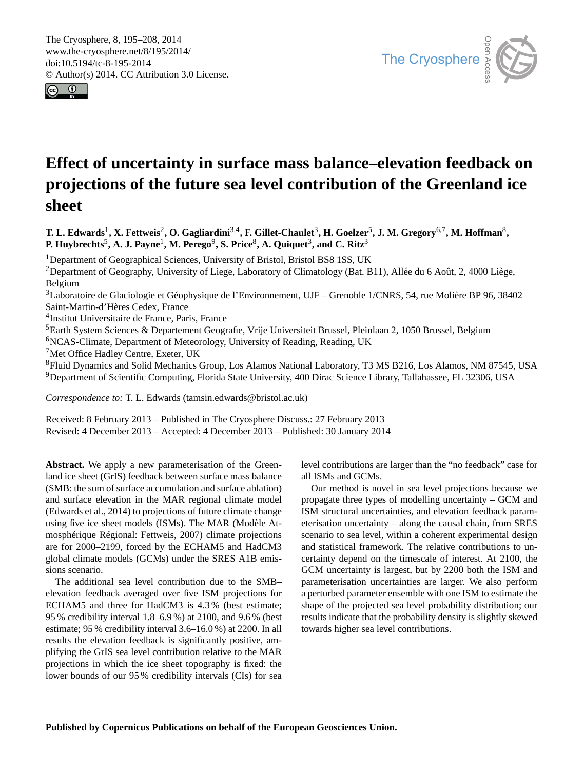<span id="page-0-0"></span>The Cryosphere, 8, 195–208, 2014 www.the-cryosphere.net/8/195/2014/ doi:10.5194/tc-8-195-2014 © Author(s) 2014. CC Attribution 3.0 License.





# **Effect of uncertainty in surface mass balance–elevation feedback on projections of the future sea level contribution of the Greenland ice sheet**

 $\bf{T. L. Edwards^1, X. Fettweis^2, O. Gagliardini^{3,4}, F. Gillet-Chaulet^3, H. Goelzer^5, J. M. Gregory^{6,7}, M. Hoffman^8,$ **P. Huybrechts**<sup>5</sup> **, A. J. Payne**<sup>1</sup> **, M. Perego**<sup>9</sup> **, S. Price**<sup>8</sup> **, A. Quiquet**<sup>3</sup> **, and C. Ritz**<sup>3</sup>

<sup>1</sup>Department of Geographical Sciences, University of Bristol, Bristol BS8 1SS, UK

<sup>2</sup>Department of Geography, University of Liege, Laboratory of Climatology (Bat. B11), Allée du 6 Août, 2, 4000 Liège, Belgium

<sup>3</sup>Laboratoire de Glaciologie et Géophysique de l'Environnement, UJF – Grenoble 1/CNRS, 54, rue Molière BP 96, 38402 Saint-Martin-d'Hères Cedex, France

4 Institut Universitaire de France, Paris, France

<sup>5</sup>Earth System Sciences & Departement Geografie, Vrije Universiteit Brussel, Pleinlaan 2, 1050 Brussel, Belgium <sup>6</sup>NCAS-Climate, Department of Meteorology, University of Reading, Reading, UK

<sup>7</sup>Met Office Hadley Centre, Exeter, UK

<sup>8</sup>Fluid Dynamics and Solid Mechanics Group, Los Alamos National Laboratory, T3 MS B216, Los Alamos, NM 87545, USA <sup>9</sup>Department of Scientific Computing, Florida State University, 400 Dirac Science Library, Tallahassee, FL 32306, USA

*Correspondence to:* T. L. Edwards (tamsin.edwards@bristol.ac.uk)

Received: 8 February 2013 – Published in The Cryosphere Discuss.: 27 February 2013 Revised: 4 December 2013 – Accepted: 4 December 2013 – Published: 30 January 2014

**Abstract.** We apply a new parameterisation of the Greenland ice sheet (GrIS) feedback between surface mass balance (SMB: the sum of surface accumulation and surface ablation) and surface elevation in the MAR regional climate model [\(Edwards et al.,](#page-11-0) [2014\)](#page-11-0) to projections of future climate change using five ice sheet models (ISMs). The MAR (Modèle Atmosphérique Régional: [Fettweis,](#page-12-0) [2007\)](#page-12-0) climate projections are for 2000–2199, forced by the ECHAM5 and HadCM3 global climate models (GCMs) under the SRES A1B emissions scenario.

The additional sea level contribution due to the SMB– elevation feedback averaged over five ISM projections for ECHAM5 and three for HadCM3 is 4.3 % (best estimate; 95 % credibility interval 1.8–6.9 %) at 2100, and 9.6 % (best estimate; 95 % credibility interval 3.6–16.0 %) at 2200. In all results the elevation feedback is significantly positive, amplifying the GrIS sea level contribution relative to the MAR projections in which the ice sheet topography is fixed: the lower bounds of our 95 % credibility intervals (CIs) for sea

level contributions are larger than the "no feedback" case for all ISMs and GCMs.

Our method is novel in sea level projections because we propagate three types of modelling uncertainty – GCM and ISM structural uncertainties, and elevation feedback parameterisation uncertainty – along the causal chain, from SRES scenario to sea level, within a coherent experimental design and statistical framework. The relative contributions to uncertainty depend on the timescale of interest. At 2100, the GCM uncertainty is largest, but by 2200 both the ISM and parameterisation uncertainties are larger. We also perform a perturbed parameter ensemble with one ISM to estimate the shape of the projected sea level probability distribution; our results indicate that the probability density is slightly skewed towards higher sea level contributions.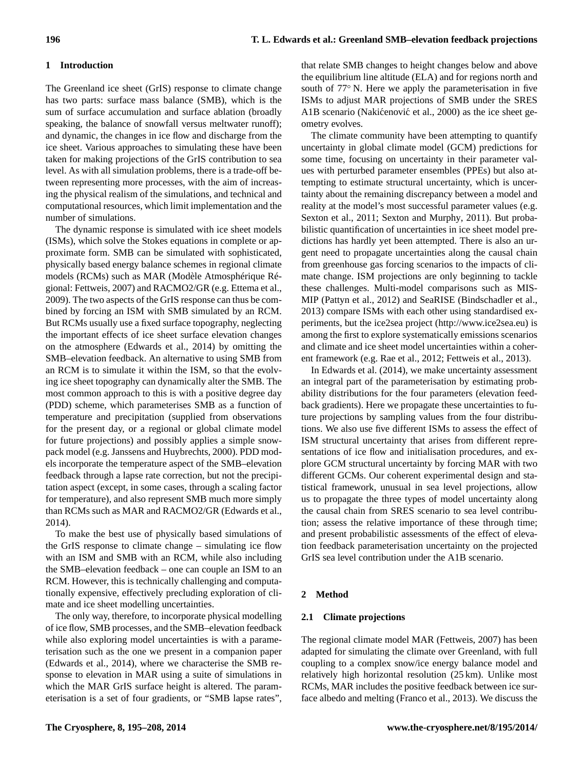# **1 Introduction**

The Greenland ice sheet (GrIS) response to climate change has two parts: surface mass balance (SMB), which is the sum of surface accumulation and surface ablation (broadly speaking, the balance of snowfall versus meltwater runoff); and dynamic, the changes in ice flow and discharge from the ice sheet. Various approaches to simulating these have been taken for making projections of the GrIS contribution to sea level. As with all simulation problems, there is a trade-off between representing more processes, with the aim of increasing the physical realism of the simulations, and technical and computational resources, which limit implementation and the number of simulations.

The dynamic response is simulated with ice sheet models (ISMs), which solve the Stokes equations in complete or approximate form. SMB can be simulated with sophisticated, physically based energy balance schemes in regional climate models (RCMs) such as MAR (Modèle Atmosphérique Régional: [Fettweis,](#page-12-0) [2007\)](#page-12-0) and RACMO2/GR (e.g. [Ettema et al.,](#page-12-1) [2009\)](#page-12-1). The two aspects of the GrIS response can thus be combined by forcing an ISM with SMB simulated by an RCM. But RCMs usually use a fixed surface topography, neglecting the important effects of ice sheet surface elevation changes on the atmosphere [\(Edwards et al.,](#page-11-0) [2014\)](#page-11-0) by omitting the SMB–elevation feedback. An alternative to using SMB from an RCM is to simulate it within the ISM, so that the evolving ice sheet topography can dynamically alter the SMB. The most common approach to this is with a positive degree day (PDD) scheme, which parameterises SMB as a function of temperature and precipitation (supplied from observations for the present day, or a regional or global climate model for future projections) and possibly applies a simple snowpack model (e.g. [Janssens and Huybrechts,](#page-12-2) [2000\)](#page-12-2). PDD models incorporate the temperature aspect of the SMB–elevation feedback through a lapse rate correction, but not the precipitation aspect (except, in some cases, through a scaling factor for temperature), and also represent SMB much more simply than RCMs such as MAR and RACMO2/GR [\(Edwards et al.,](#page-11-0) [2014\)](#page-11-0).

To make the best use of physically based simulations of the GrIS response to climate change – simulating ice flow with an ISM and SMB with an RCM, while also including the SMB–elevation feedback – one can couple an ISM to an RCM. However, this is technically challenging and computationally expensive, effectively precluding exploration of climate and ice sheet modelling uncertainties.

The only way, therefore, to incorporate physical modelling of ice flow, SMB processes, and the SMB–elevation feedback while also exploring model uncertainties is with a parameterisation such as the one we present in a companion paper [\(Edwards et al.,](#page-11-0) [2014\)](#page-11-0), where we characterise the SMB response to elevation in MAR using a suite of simulations in which the MAR GrIS surface height is altered. The parameterisation is a set of four gradients, or "SMB lapse rates", that relate SMB changes to height changes below and above the equilibrium line altitude (ELA) and for regions north and south of 77<sup>°</sup> N. Here we apply the parameterisation in five ISMs to adjust MAR projections of SMB under the SRES A1B scenario (Nakićenović et al., [2000\)](#page-12-3) as the ice sheet geometry evolves.

The climate community have been attempting to quantify uncertainty in global climate model (GCM) predictions for some time, focusing on uncertainty in their parameter values with perturbed parameter ensembles (PPEs) but also attempting to estimate structural uncertainty, which is uncertainty about the remaining discrepancy between a model and reality at the model's most successful parameter values (e.g. [Sexton et al.,](#page-13-0) [2011;](#page-13-0) [Sexton and Murphy,](#page-13-1) [2011\)](#page-13-1). But probabilistic quantification of uncertainties in ice sheet model predictions has hardly yet been attempted. There is also an urgent need to propagate uncertainties along the causal chain from greenhouse gas forcing scenarios to the impacts of climate change. ISM projections are only beginning to tackle these challenges. Multi-model comparisons such as MIS-MIP [\(Pattyn et al.,](#page-12-4) [2012\)](#page-12-4) and SeaRISE [\(Bindschadler et al.,](#page-11-1) [2013\)](#page-11-1) compare ISMs with each other using standardised experiments, but the ice2sea project [\(http://www.ice2sea.eu\)](http://www.ice2sea.eu) is among the first to explore systematically emissions scenarios and climate and ice sheet model uncertainties within a coherent framework (e.g. [Rae et al.,](#page-13-2) [2012;](#page-13-2) [Fettweis et al.,](#page-12-5) [2013\)](#page-12-5).

In [Edwards et al.](#page-11-0) [\(2014\)](#page-11-0), we make uncertainty assessment an integral part of the parameterisation by estimating probability distributions for the four parameters (elevation feedback gradients). Here we propagate these uncertainties to future projections by sampling values from the four distributions. We also use five different ISMs to assess the effect of ISM structural uncertainty that arises from different representations of ice flow and initialisation procedures, and explore GCM structural uncertainty by forcing MAR with two different GCMs. Our coherent experimental design and statistical framework, unusual in sea level projections, allow us to propagate the three types of model uncertainty along the causal chain from SRES scenario to sea level contribution; assess the relative importance of these through time; and present probabilistic assessments of the effect of elevation feedback parameterisation uncertainty on the projected GrIS sea level contribution under the A1B scenario.

# **2 Method**

## <span id="page-1-0"></span>**2.1 Climate projections**

The regional climate model MAR [\(Fettweis,](#page-12-0) [2007\)](#page-12-0) has been adapted for simulating the climate over Greenland, with full coupling to a complex snow/ice energy balance model and relatively high horizontal resolution (25 km). Unlike most RCMs, MAR includes the positive feedback between ice surface albedo and melting [\(Franco et al.,](#page-12-6) [2013\)](#page-12-6). We discuss the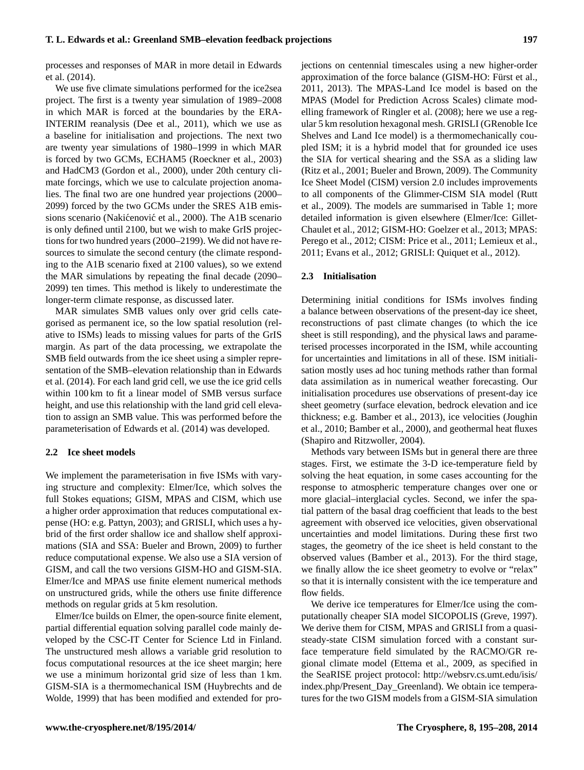processes and responses of MAR in more detail in [Edwards](#page-11-0) [et al.](#page-11-0) [\(2014\)](#page-11-0).

We use five climate simulations performed for the ice2sea project. The first is a twenty year simulation of 1989–2008 in which MAR is forced at the boundaries by the ERA-INTERIM reanalysis [\(Dee et al.,](#page-11-2) [2011\)](#page-11-2), which we use as a baseline for initialisation and projections. The next two are twenty year simulations of 1980–1999 in which MAR is forced by two GCMs, ECHAM5 [\(Roeckner et al.,](#page-13-3) [2003\)](#page-13-3) and HadCM3 [\(Gordon et al.,](#page-12-7) [2000\)](#page-12-7), under 20th century climate forcings, which we use to calculate projection anomalies. The final two are one hundred year projections (2000– 2099) forced by the two GCMs under the SRES A1B emis-sions scenario (Nakićenović et al., [2000\)](#page-12-3). The A1B scenario is only defined until 2100, but we wish to make GrIS projections for two hundred years (2000–2199). We did not have resources to simulate the second century (the climate responding to the A1B scenario fixed at 2100 values), so we extend the MAR simulations by repeating the final decade (2090– 2099) ten times. This method is likely to underestimate the longer-term climate response, as discussed later.

MAR simulates SMB values only over grid cells categorised as permanent ice, so the low spatial resolution (relative to ISMs) leads to missing values for parts of the GrIS margin. As part of the data processing, we extrapolate the SMB field outwards from the ice sheet using a simpler representation of the SMB–elevation relationship than in [Edwards](#page-11-0) [et al.](#page-11-0) [\(2014\)](#page-11-0). For each land grid cell, we use the ice grid cells within 100 km to fit a linear model of SMB versus surface height, and use this relationship with the land grid cell elevation to assign an SMB value. This was performed before the parameterisation of [Edwards et al.](#page-11-0) [\(2014\)](#page-11-0) was developed.

#### **2.2 Ice sheet models**

We implement the parameterisation in five ISMs with varying structure and complexity: Elmer/Ice, which solves the full Stokes equations; GISM, MPAS and CISM, which use a higher order approximation that reduces computational expense (HO: e.g. [Pattyn,](#page-12-8) [2003\)](#page-12-8); and GRISLI, which uses a hybrid of the first order shallow ice and shallow shelf approximations (SIA and SSA: [Bueler and Brown,](#page-11-3) [2009\)](#page-11-3) to further reduce computational expense. We also use a SIA version of GISM, and call the two versions GISM-HO and GISM-SIA. Elmer/Ice and MPAS use finite element numerical methods on unstructured grids, while the others use finite difference methods on regular grids at 5 km resolution.

Elmer/Ice builds on Elmer, the open-source finite element, partial differential equation solving parallel code mainly developed by the CSC-IT Center for Science Ltd in Finland. The unstructured mesh allows a variable grid resolution to focus computational resources at the ice sheet margin; here we use a minimum horizontal grid size of less than 1 km. GISM-SIA is a thermomechanical ISM [\(Huybrechts and de](#page-12-9) [Wolde,](#page-12-9) [1999\)](#page-12-9) that has been modified and extended for projections on centennial timescales using a new higher-order approximation of the force balance (GISM-HO: [Fürst et al.,](#page-12-10) [2011,](#page-12-10) [2013\)](#page-12-11). The MPAS-Land Ice model is based on the MPAS (Model for Prediction Across Scales) climate modelling framework of [Ringler et al.](#page-13-4) [\(2008\)](#page-13-4); here we use a regular 5 km resolution hexagonal mesh. GRISLI (GRenoble Ice Shelves and Land Ice model) is a thermomechanically coupled ISM; it is a hybrid model that for grounded ice uses the SIA for vertical shearing and the SSA as a sliding law [\(Ritz et al.,](#page-13-5) [2001;](#page-13-5) [Bueler and Brown,](#page-11-3) [2009\)](#page-11-3). The Community Ice Sheet Model (CISM) version 2.0 includes improvements to all components of the Glimmer-CISM SIA model [\(Rutt](#page-13-6) [et al.,](#page-13-6) [2009\)](#page-13-6). The models are summarised in Table [1;](#page-3-0) more detailed information is given elsewhere (Elmer/Ice: [Gillet-](#page-12-12)[Chaulet et al.,](#page-12-12) [2012;](#page-12-12) GISM-HO: [Goelzer et al.,](#page-12-13) [2013;](#page-12-13) MPAS: [Perego et al.,](#page-12-14) [2012;](#page-12-14) CISM: [Price et al.,](#page-12-15) [2011;](#page-12-15) [Lemieux et al.,](#page-12-16) [2011;](#page-12-16) [Evans et al.,](#page-12-17) [2012;](#page-12-17) GRISLI: [Quiquet et al.,](#page-12-18) [2012\)](#page-12-18).

#### <span id="page-2-0"></span>**2.3 Initialisation**

Determining initial conditions for ISMs involves finding a balance between observations of the present-day ice sheet, reconstructions of past climate changes (to which the ice sheet is still responding), and the physical laws and parameterised processes incorporated in the ISM, while accounting for uncertainties and limitations in all of these. ISM initialisation mostly uses ad hoc tuning methods rather than formal data assimilation as in numerical weather forecasting. Our initialisation procedures use observations of present-day ice sheet geometry (surface elevation, bedrock elevation and ice thickness; e.g. [Bamber et al.,](#page-11-4) [2013\)](#page-11-4), ice velocities [\(Joughin](#page-12-19) [et al.,](#page-12-19) [2010;](#page-12-19) [Bamber et al.,](#page-11-5) [2000\)](#page-11-5), and geothermal heat fluxes [\(Shapiro and Ritzwoller,](#page-13-7) [2004\)](#page-13-7).

Methods vary between ISMs but in general there are three stages. First, we estimate the 3-D ice-temperature field by solving the heat equation, in some cases accounting for the response to atmospheric temperature changes over one or more glacial–interglacial cycles. Second, we infer the spatial pattern of the basal drag coefficient that leads to the best agreement with observed ice velocities, given observational uncertainties and model limitations. During these first two stages, the geometry of the ice sheet is held constant to the observed values [\(Bamber et al.,](#page-11-4) [2013\)](#page-11-4). For the third stage, we finally allow the ice sheet geometry to evolve or "relax" so that it is internally consistent with the ice temperature and flow fields.

We derive ice temperatures for Elmer/Ice using the computationally cheaper SIA model SICOPOLIS [\(Greve,](#page-12-20) [1997\)](#page-12-20). We derive them for CISM, MPAS and GRISLI from a quasisteady-state CISM simulation forced with a constant surface temperature field simulated by the RACMO/GR regional climate model [\(Ettema et al.,](#page-12-1) [2009,](#page-12-1) as specified in the SeaRISE project protocol: [http://websrv.cs.umt.edu/isis/](http://websrv.cs.umt.edu/isis/index.php/Present_Day_Greenland) [index.php/Present\\_Day\\_Greenland\)](http://websrv.cs.umt.edu/isis/index.php/Present_Day_Greenland). We obtain ice temperatures for the two GISM models from a GISM-SIA simulation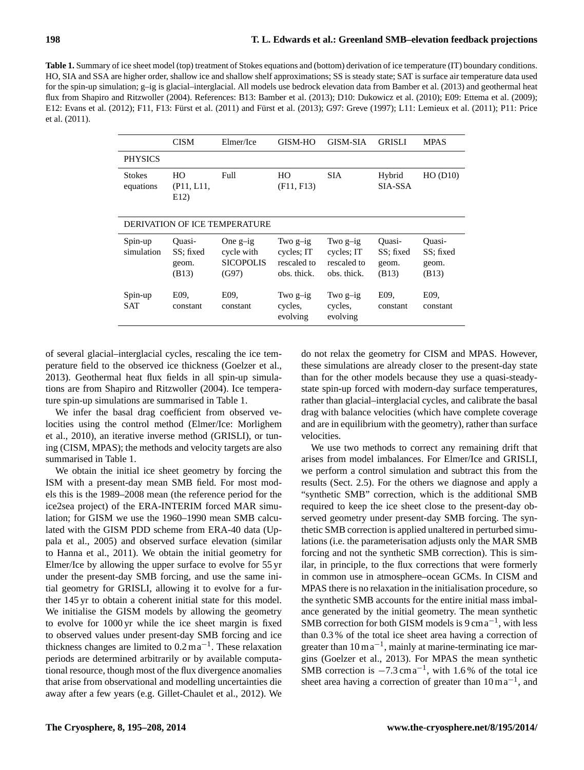<span id="page-3-0"></span>**Table 1.** Summary of ice sheet model (top) treatment of Stokes equations and (bottom) derivation of ice temperature (IT) boundary conditions. HO, SIA and SSA are higher order, shallow ice and shallow shelf approximations; SS is steady state; SAT is surface air temperature data used for the spin-up simulation; g–ig is glacial–interglacial. All models use bedrock elevation data from [Bamber et al.](#page-11-4) [\(2013\)](#page-11-4) and geothermal heat flux from [Shapiro and Ritzwoller](#page-13-7) [\(2004\)](#page-13-7). References: B13: [Bamber et al.](#page-11-4) [\(2013\)](#page-11-4); D10: [Dukowicz et al.](#page-11-6) [\(2010\)](#page-11-6); E09: [Ettema et al.](#page-12-1) [\(2009\)](#page-12-1); E12: [Evans et al.](#page-12-17) [\(2012\)](#page-12-17); F11, F13: [Fürst et al.](#page-12-10) [\(2011\)](#page-12-10) and [Fürst et al.](#page-12-11) [\(2013\)](#page-12-11); G97: [Greve](#page-12-20) [\(1997\)](#page-12-20); L11: [Lemieux et al.](#page-12-16) [\(2011\)](#page-12-16); P11: [Price](#page-12-15) [et al.](#page-12-15) [\(2011\)](#page-12-15).

|                                | <b>CISM</b>                           | Elmer/Ice                                              | <b>GISM-HO</b>                                          | <b>GISM-SIA</b>                                         | <b>GRISLI</b>                         | <b>MPAS</b>                           |
|--------------------------------|---------------------------------------|--------------------------------------------------------|---------------------------------------------------------|---------------------------------------------------------|---------------------------------------|---------------------------------------|
| <b>PHYSICS</b>                 |                                       |                                                        |                                                         |                                                         |                                       |                                       |
| <b>Stokes</b><br>equations     | HO<br>(P11, L11,<br>E12               | Full                                                   | HO<br>(F11, F13)                                        | SIA                                                     | Hybrid<br>SIA-SSA                     | $HO$ ( $D10$ )                        |
| DERIVATION OF ICE TEMPER ATURE |                                       |                                                        |                                                         |                                                         |                                       |                                       |
| Spin-up<br>simulation          | Ouasi-<br>SS; fixed<br>geom.<br>(B13) | One $g$ -ig<br>cycle with<br><b>SICOPOLIS</b><br>(G97) | Two $g$ -ig<br>cycles; IT<br>rescaled to<br>obs. thick. | Two $g$ -ig<br>cycles; IT<br>rescaled to<br>obs. thick. | Ouasi-<br>SS; fixed<br>geom.<br>(B13) | Ouasi-<br>SS; fixed<br>geom.<br>(B13) |
| Spin-up<br>SAT                 | E09.<br>constant                      | E09.<br>constant                                       | Two $g$ -ig<br>cycles,<br>evolving                      | Two $g$ -ig<br>cycles,<br>evolving                      | E09.<br>constant                      | E09.<br>constant                      |

of several glacial–interglacial cycles, rescaling the ice temperature field to the observed ice thickness [\(Goelzer et al.,](#page-12-13) [2013\)](#page-12-13). Geothermal heat flux fields in all spin-up simulations are from [Shapiro and Ritzwoller](#page-13-7) [\(2004\)](#page-13-7). Ice temperature spin-up simulations are summarised in Table [1.](#page-3-0)

We infer the basal drag coefficient from observed velocities using the control method (Elmer/Ice: [Morlighem](#page-12-21) [et al.,](#page-12-21) [2010\)](#page-12-21), an iterative inverse method (GRISLI), or tuning (CISM, MPAS); the methods and velocity targets are also summarised in Table [1.](#page-3-0)

We obtain the initial ice sheet geometry by forcing the ISM with a present-day mean SMB field. For most models this is the 1989–2008 mean (the reference period for the ice2sea project) of the ERA-INTERIM forced MAR simulation; for GISM we use the 1960–1990 mean SMB calculated with the GISM PDD scheme from ERA-40 data [\(Up](#page-13-8)[pala et al.,](#page-13-8) [2005\)](#page-13-8) and observed surface elevation (similar to [Hanna et al.,](#page-12-22) [2011\)](#page-12-22). We obtain the initial geometry for Elmer/Ice by allowing the upper surface to evolve for 55 yr under the present-day SMB forcing, and use the same initial geometry for GRISLI, allowing it to evolve for a further 145 yr to obtain a coherent initial state for this model. We initialise the GISM models by allowing the geometry to evolve for 1000 yr while the ice sheet margin is fixed to observed values under present-day SMB forcing and ice thickness changes are limited to  $0.2 \text{ m}\text{a}^{-1}$ . These relaxation periods are determined arbitrarily or by available computational resource, though most of the flux divergence anomalies that arise from observational and modelling uncertainties die away after a few years (e.g. [Gillet-Chaulet et al.,](#page-12-12) [2012\)](#page-12-12). We do not relax the geometry for CISM and MPAS. However, these simulations are already closer to the present-day state than for the other models because they use a quasi-steadystate spin-up forced with modern-day surface temperatures, rather than glacial–interglacial cycles, and calibrate the basal drag with balance velocities (which have complete coverage and are in equilibrium with the geometry), rather than surface velocities.

We use two methods to correct any remaining drift that arises from model imbalances. For Elmer/Ice and GRISLI, we perform a control simulation and subtract this from the results (Sect. [2.5\)](#page-4-0). For the others we diagnose and apply a "synthetic SMB" correction, which is the additional SMB required to keep the ice sheet close to the present-day observed geometry under present-day SMB forcing. The synthetic SMB correction is applied unaltered in perturbed simulations (i.e. the parameterisation adjusts only the MAR SMB forcing and not the synthetic SMB correction). This is similar, in principle, to the flux corrections that were formerly in common use in atmosphere–ocean GCMs. In CISM and MPAS there is no relaxation in the initialisation procedure, so the synthetic SMB accounts for the entire initial mass imbalance generated by the initial geometry. The mean synthetic SMB correction for both GISM models is  $9 \text{ cm} \text{a}^{-1}$ , with less than 0.3 % of the total ice sheet area having a correction of greater than  $10 \text{ m}\text{a}^{-1}$ , mainly at marine-terminating ice margins [\(Goelzer et al.,](#page-12-13) [2013\)](#page-12-13). For MPAS the mean synthetic SMB correction is  $-7.3 \text{ cm} \text{a}^{-1}$ , with 1.6% of the total ice sheet area having a correction of greater than  $10 \text{ m a}^{-1}$ , and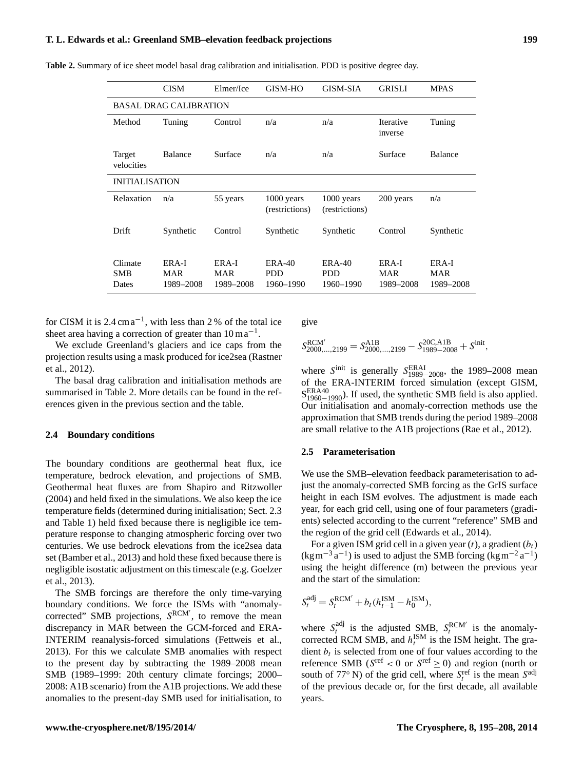|                               | <b>CISM</b>                      | Elmer/Ice                 | <b>GISM-HO</b>                      | <b>GISM-SIA</b>                     | <b>GRISLI</b>             | <b>MPAS</b>                      |  |
|-------------------------------|----------------------------------|---------------------------|-------------------------------------|-------------------------------------|---------------------------|----------------------------------|--|
| <b>BASAL DRAG CALIBRATION</b> |                                  |                           |                                     |                                     |                           |                                  |  |
| Method                        | Tuning                           | Control                   | n/a                                 | n/a                                 | Iterative<br>inverse      | Tuning                           |  |
| Target<br>velocities          | Balance                          | Surface                   | n/a                                 | n/a                                 | Surface                   | <b>Balance</b>                   |  |
| <b>INITIALISATION</b>         |                                  |                           |                                     |                                     |                           |                                  |  |
| Relaxation                    | n/a                              | 55 years                  | 1000 years<br>(restrictions)        | 1000 years<br>(restrictions)        | 200 years                 | n/a                              |  |
| Drift                         | Synthetic                        | Control                   | Synthetic                           | Synthetic                           | Control                   | Synthetic                        |  |
| Climate<br>SMB<br>Dates       | ERA-I<br><b>MAR</b><br>1989–2008 | ERA-I<br>MAR<br>1989-2008 | $ERA-40$<br><b>PDD</b><br>1960-1990 | $ERA-40$<br><b>PDD</b><br>1960–1990 | ERA-I<br>MAR<br>1989–2008 | ERA-I<br><b>MAR</b><br>1989-2008 |  |

<span id="page-4-1"></span>**Table 2.** Summary of ice sheet model basal drag calibration and initialisation. PDD is positive degree day.

for CISM it is  $2.4 \text{ cm} \text{a}^{-1}$ , with less than 2% of the total ice sheet area having a correction of greater than  $10 \text{ ma}^{-1}$ .

We exclude Greenland's glaciers and ice caps from the projection results using a mask produced for ice2sea [\(Rastner](#page-13-9) [et al.,](#page-13-9) [2012\)](#page-13-9).

The basal drag calibration and initialisation methods are summarised in Table [2.](#page-4-1) More details can be found in the references given in the previous section and the table.

#### **2.4 Boundary conditions**

The boundary conditions are geothermal heat flux, ice temperature, bedrock elevation, and projections of SMB. Geothermal heat fluxes are from [Shapiro and Ritzwoller](#page-13-7) [\(2004\)](#page-13-7) and held fixed in the simulations. We also keep the ice temperature fields (determined during initialisation; Sect. [2.3](#page-2-0) and Table [1\)](#page-3-0) held fixed because there is negligible ice temperature response to changing atmospheric forcing over two centuries. We use bedrock elevations from the ice2sea data set [\(Bamber et al.,](#page-11-4) [2013\)](#page-11-4) and hold these fixed because there is negligible isostatic adjustment on this timescale (e.g. [Goelzer](#page-12-13) [et al.,](#page-12-13) [2013\)](#page-12-13).

The SMB forcings are therefore the only time-varying boundary conditions. We force the ISMs with "anomalycorrected" SMB projections,  $S^{RCM'}$ , to remove the mean discrepancy in MAR between the GCM-forced and ERA-INTERIM reanalysis-forced simulations [\(Fettweis et al.,](#page-12-5) [2013\)](#page-12-5). For this we calculate SMB anomalies with respect to the present day by subtracting the 1989–2008 mean SMB (1989–1999: 20th century climate forcings; 2000– 2008: A1B scenario) from the A1B projections. We add these anomalies to the present-day SMB used for initialisation, to give

$$
S_{2000,\dots,2199}^{\text{RCM}'} = S_{2000,\dots,2199}^{\text{A1B}} - S_{1989-2008}^{20\text{C},\text{A1B}} + S^{\text{init}},
$$

where  $S^{\text{init}}$  is generally  $S_{1989-2008}^{\text{ERAI}}$ , the 1989–2008 mean of the ERA-INTERIM forced simulation (except GISM,  $S_{1960-1990}^{ERA40}$ ). If used, the synthetic SMB field is also applied. Our initialisation and anomaly-correction methods use the approximation that SMB trends during the period 1989–2008 are small relative to the A1B projections [\(Rae et al.,](#page-13-2) [2012\)](#page-13-2).

#### <span id="page-4-0"></span>**2.5 Parameterisation**

We use the SMB–elevation feedback parameterisation to adjust the anomaly-corrected SMB forcing as the GrIS surface height in each ISM evolves. The adjustment is made each year, for each grid cell, using one of four parameters (gradients) selected according to the current "reference" SMB and the region of the grid cell [\(Edwards et al.,](#page-11-0) [2014\)](#page-11-0).

For a given ISM grid cell in a given year  $(t)$ , a gradient  $(b<sub>t</sub>)$  $(\text{kg m}^{-3} \text{a}^{-1})$  is used to adjust the SMB forcing  $(\text{kg m}^{-2} \text{a}^{-1})$ using the height difference (m) between the previous year and the start of the simulation:

$$
S_t^{\text{adj}} = S_t^{\text{RCM}'} + b_t (h_{t-1}^{\text{ISM}} - h_0^{\text{ISM}}),
$$

where  $S_t^{\text{adj}}$  is the adjusted SMB,  $S_t^{\text{RCM}'}$  is the anomalycorrected RCM SMB, and  $h_t^{\text{ISM}}$  is the ISM height. The gradient  $b_t$  is selected from one of four values according to the reference SMB ( $S^{\text{ref}} < 0$  or  $S^{\text{ref}} \ge 0$ ) and region (north or south of  $77°$  N) of the grid cell, where  $S_t^{\text{ref}}$  is the mean  $S^{\text{adj}}$ of the previous decade or, for the first decade, all available years.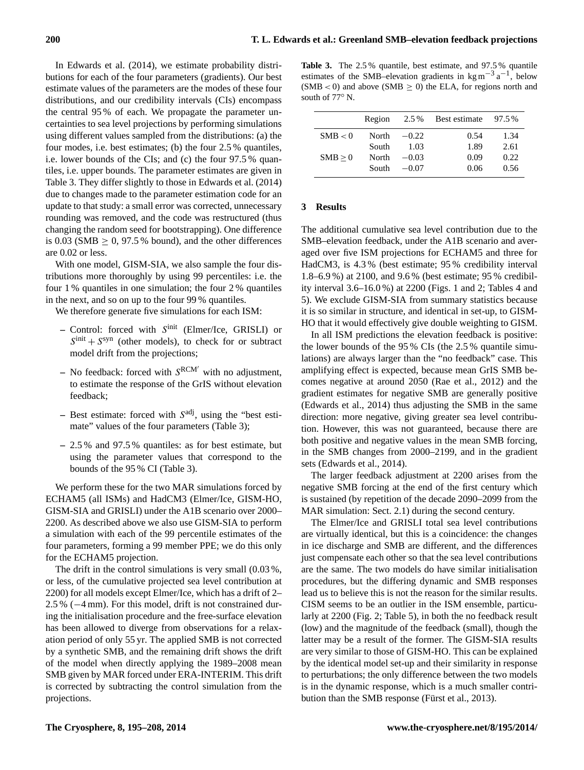In [Edwards et al.](#page-11-0) [\(2014\)](#page-11-0), we estimate probability distributions for each of the four parameters (gradients). Our best estimate values of the parameters are the modes of these four distributions, and our credibility intervals (CIs) encompass the central 95 % of each. We propagate the parameter uncertainties to sea level projections by performing simulations using different values sampled from the distributions: (a) the four modes, i.e. best estimates; (b) the four 2.5 % quantiles, i.e. lower bounds of the CIs; and (c) the four 97.5 % quantiles, i.e. upper bounds. The parameter estimates are given in Table [3.](#page-5-0) They differ slightly to those in [Edwards et al.](#page-11-0) [\(2014\)](#page-11-0) due to changes made to the parameter estimation code for an update to that study: a small error was corrected, unnecessary rounding was removed, and the code was restructured (thus changing the random seed for bootstrapping). One difference is 0.03 (SMB  $\geq$  0, 97.5% bound), and the other differences are 0.02 or less.

With one model, GISM-SIA, we also sample the four distributions more thoroughly by using 99 percentiles: i.e. the four 1 % quantiles in one simulation; the four 2 % quantiles in the next, and so on up to the four 99 % quantiles.

We therefore generate five simulations for each ISM:

- **–** Control: forced with S init (Elmer/Ice, GRISLI) or  $S^{\text{init}} + S^{\text{syn}}$  (other models), to check for or subtract model drift from the projections;
- No feedback: forced with  $S^{RCM'}$  with no adjustment, to estimate the response of the GrIS without elevation feedback;
- **–** Best estimate: forced with S adj, using the "best estimate" values of the four parameters (Table 3);
- **–** 2.5 % and 97.5 % quantiles: as for best estimate, but using the parameter values that correspond to the bounds of the 95 % CI (Table 3).

We perform these for the two MAR simulations forced by ECHAM5 (all ISMs) and HadCM3 (Elmer/Ice, GISM-HO, GISM-SIA and GRISLI) under the A1B scenario over 2000– 2200. As described above we also use GISM-SIA to perform a simulation with each of the 99 percentile estimates of the four parameters, forming a 99 member PPE; we do this only for the ECHAM5 projection.

The drift in the control simulations is very small  $(0.03\%),$ or less, of the cumulative projected sea level contribution at 2200) for all models except Elmer/Ice, which has a drift of 2– 2.5 % (−4 mm). For this model, drift is not constrained during the initialisation procedure and the free-surface elevation has been allowed to diverge from observations for a relaxation period of only 55 yr. The applied SMB is not corrected by a synthetic SMB, and the remaining drift shows the drift of the model when directly applying the 1989–2008 mean SMB given by MAR forced under ERA-INTERIM. This drift is corrected by subtracting the control simulation from the projections.

<span id="page-5-0"></span>**Table 3.** The 2.5 % quantile, best estimate, and 97.5 % quantile estimates of the SMB–elevation gradients in kg m<sup>-3</sup> a<sup>-1</sup>, below  $(SMB < 0)$  and above  $(SMB > 0)$  the ELA, for regions north and south of 77<sup>°</sup> N.

|         | Region |         | 2.5 % Best estimate 97.5 % |      |
|---------|--------|---------|----------------------------|------|
| SMB < 0 | North  | $-0.22$ | 0.54                       | 1.34 |
|         | South  | 1.03    | 1.89                       | 2.61 |
| SMB > 0 | North  | $-0.03$ | 0.09                       | 0.22 |
|         | South  | $-0.07$ | 0.06                       | 0.56 |

### **3 Results**

The additional cumulative sea level contribution due to the SMB–elevation feedback, under the A1B scenario and averaged over five ISM projections for ECHAM5 and three for HadCM3, is 4.3 % (best estimate; 95 % credibility interval 1.8–6.9 %) at 2100, and 9.6 % (best estimate; 95 % credibility interval 3.6–16.0 %) at 2200 (Figs. [1](#page-6-0) and [2;](#page-7-0) Tables [4](#page-6-1) and [5\)](#page-6-2). We exclude GISM-SIA from summary statistics because it is so similar in structure, and identical in set-up, to GISM-HO that it would effectively give double weighting to GISM.

In all ISM predictions the elevation feedback is positive: the lower bounds of the 95 % CIs (the 2.5 % quantile simulations) are always larger than the "no feedback" case. This amplifying effect is expected, because mean GrIS SMB becomes negative at around 2050 [\(Rae et al.,](#page-13-2) [2012\)](#page-13-2) and the gradient estimates for negative SMB are generally positive [\(Edwards et al.,](#page-11-0) [2014\)](#page-11-0) thus adjusting the SMB in the same direction: more negative, giving greater sea level contribution. However, this was not guaranteed, because there are both positive and negative values in the mean SMB forcing, in the SMB changes from 2000–2199, and in the gradient sets [\(Edwards et al.,](#page-11-0) [2014\)](#page-11-0).

The larger feedback adjustment at 2200 arises from the negative SMB forcing at the end of the first century which is sustained (by repetition of the decade 2090–2099 from the MAR simulation: Sect. [2.1\)](#page-1-0) during the second century.

The Elmer/Ice and GRISLI total sea level contributions are virtually identical, but this is a coincidence: the changes in ice discharge and SMB are different, and the differences just compensate each other so that the sea level contributions are the same. The two models do have similar initialisation procedures, but the differing dynamic and SMB responses lead us to believe this is not the reason for the similar results. CISM seems to be an outlier in the ISM ensemble, particularly at 2200 (Fig. [2;](#page-7-0) Table [5\)](#page-6-2), in both the no feedback result (low) and the magnitude of the feedback (small), though the latter may be a result of the former. The GISM-SIA results are very similar to those of GISM-HO. This can be explained by the identical model set-up and their similarity in response to perturbations; the only difference between the two models is in the dynamic response, which is a much smaller contribution than the SMB response [\(Fürst et al.,](#page-12-11) [2013\)](#page-12-11).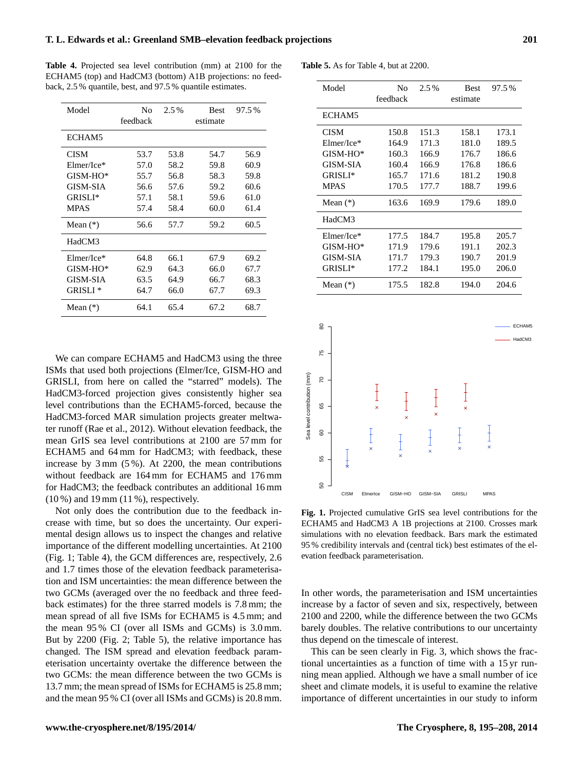<span id="page-6-1"></span>**Table 4.** Projected sea level contribution (mm) at 2100 for the ECHAM5 (top) and HadCM3 (bottom) A1B projections: no feedback, 2.5 % quantile, best, and 97.5 % quantile estimates.

| Model              | No<br>feedback | $2.5\%$ | <b>Best</b><br>estimate | 97.5% |
|--------------------|----------------|---------|-------------------------|-------|
| ECHAM <sub>5</sub> |                |         |                         |       |
| <b>CISM</b>        | 53.7           | 53.8    | 54.7                    | 56.9  |
| $Elmer/Ice*$       | 57.0           | 58.2    | 59.8                    | 60.9  |
| $GISM-HO*$         | 55.7           | 56.8    | 58.3                    | 59.8  |
| <b>GISM-SIA</b>    | 56.6           | 57.6    | 59.2                    | 60.6  |
| GRISLI*            | 57.1           | 58.1    | 59.6                    | 61.0  |
| <b>MPAS</b>        | 57.4           | 58.4    | 60.0                    | 61.4  |
| Mean $(*)$         | 56.6           | 57.7    | 59.2                    | 60.5  |
| HadCM3             |                |         |                         |       |
| $Elmer/Ice*$       | 64.8           | 66.1    | 67.9                    | 69.2  |
| GISM-HO*           | 62.9           | 64.3    | 66.0                    | 67.7  |
| GISM-SIA           | 63.5           | 64.9    | 66.7                    | 68.3  |
| GRISLI *           | 64.7           | 66.0    | 67.7                    | 69.3  |
| Mean $(*)$         | 64.1           | 65.4    | 67.2                    | 68.7  |

We can compare ECHAM5 and HadCM3 using the three ISMs that used both projections (Elmer/Ice, GISM-HO and GRISLI, from here on called the "starred" models). The HadCM3-forced projection gives consistently higher sea level contributions than the ECHAM5-forced, because the HadCM3-forced MAR simulation projects greater meltwater runoff [\(Rae et al.,](#page-13-2) [2012\)](#page-13-2). Without elevation feedback, the mean GrIS sea level contributions at 2100 are 57 mm for ECHAM5 and 64 mm for HadCM3; with feedback, these increase by  $3 \text{ mm}$  (5%). At 2200, the mean contributions without feedback are 164 mm for ECHAM5 and 176 mm for HadCM3; the feedback contributes an additional 16 mm (10 %) and 19 mm (11 %), respectively.

Not only does the contribution due to the feedback increase with time, but so does the uncertainty. Our experimental design allows us to inspect the changes and relative importance of the different modelling uncertainties. At 2100 (Fig. [1;](#page-6-0) Table [4\)](#page-6-1), the GCM differences are, respectively, 2.6 and 1.7 times those of the elevation feedback parameterisation and ISM uncertainties: the mean difference between the two GCMs (averaged over the no feedback and three feedback estimates) for the three starred models is 7.8 mm; the mean spread of all five ISMs for ECHAM5 is 4.5 mm; and the mean 95 % CI (over all ISMs and GCMs) is 3.0 mm. But by 2200 (Fig. [2;](#page-7-0) Table [5\)](#page-6-2), the relative importance has changed. The ISM spread and elevation feedback parameterisation uncertainty overtake the difference between the two GCMs: the mean difference between the two GCMs is 13.7 mm; the mean spread of ISMs for ECHAM5 is 25.8 mm; and the mean 95 % CI (over all ISMs and GCMs) is 20.8 mm.

<span id="page-6-2"></span>**Table 5.** As for Table [4,](#page-6-1) but at 2200.

|                             | Model           | No<br>feedback                    | 2.5%                    | <b>Best</b><br>estimate | 97.5%            |
|-----------------------------|-----------------|-----------------------------------|-------------------------|-------------------------|------------------|
|                             | ECHAM5          |                                   |                         |                         |                  |
|                             | <b>CISM</b>     | 150.8                             | 151.3                   | 158.1                   | 173.1            |
|                             | Elmer/Ice*      | 164.9                             | 171.3                   | 181.0                   | 189.5            |
|                             | GISM-HO*        | 160.3                             | 166.9                   | 176.7                   | 186.6            |
|                             | <b>GISM-SIA</b> | 160.4                             | 166.9                   | 176.8                   | 186.6            |
|                             | GRISLI*         | 165.7                             | 171.6                   | 181.2                   | 190.8            |
|                             | <b>MPAS</b>     | 170.5                             | 177.7                   | 188.7                   | 199.6            |
|                             | Mean $(*)$      | 163.6                             | 169.9                   | 179.6                   | 189.0            |
|                             | HadCM3          |                                   |                         |                         |                  |
|                             | Elmer/Ice*      | 177.5                             | 184.7                   | 195.8                   | 205.7            |
|                             | GISM-HO*        | 171.9                             | 179.6<br>179.3          | 191.1<br>190.7          | 202.3            |
|                             | <b>GISM-SIA</b> | 171.7                             |                         |                         | 201.9            |
|                             | GRISLI*         | 177.2                             | 184.1                   | 195.0                   | 206.0            |
|                             | Mean $(*)$      | 175.5                             | 182.8                   | 194.0                   | 204.6            |
|                             | 8<br>75         |                                   |                         |                         | ECHAM5<br>HadCM3 |
| Sea level contribution (mm) | $\overline{C}$  |                                   |                         |                         |                  |
|                             | 65              | $\dagger$<br>$\times$<br>$\times$ | $\overline{\mathsf{x}}$ |                         |                  |
|                             | 60              | İ<br>$\times$                     |                         | $\times$                | $\times$         |
|                             | 55              | $\times$                          | $\times$                |                         |                  |
|                             | S <sub>0</sub>  |                                   |                         |                         |                  |

**Fig. 1.** Projected cumulative GrIS sea level contributions for the ECHAM5 and HadCM3 A 1B projections at 2100. Crosses mark simulations with no elevation feedback. Bars mark the estimated 95 % credibility intervals and (central tick) best estimates of the elevation feedback parameterisation.

<span id="page-6-0"></span>CISM ElmerIce GISM−HO GISM−SIA GRISLI MPAS

In other words, the parameterisation and ISM uncertainties increase by a factor of seven and six, respectively, between 2100 and 2200, while the difference between the two GCMs barely doubles. The relative contributions to our uncertainty thus depend on the timescale of interest.

This can be seen clearly in Fig. [3,](#page-7-1) which shows the fractional uncertainties as a function of time with a 15 yr running mean applied. Although we have a small number of ice sheet and climate models, it is useful to examine the relative importance of different uncertainties in our study to inform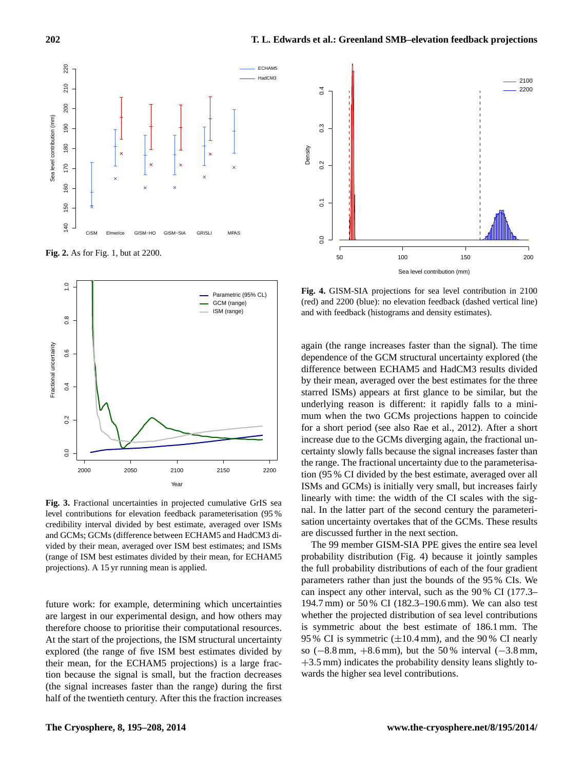

<span id="page-7-0"></span>**Fig. 2.** As for Fig. [1,](#page-6-0) but at 2200.



<span id="page-7-1"></span>**Fig. 3.** Fractional uncertainties in projected cumulative GrIS sea level contributions for elevation feedback parameterisation (95 % credibility interval divided by best estimate, averaged over ISMs and GCMs; GCMs (difference between ECHAM5 and HadCM3 divided by their mean, averaged over ISM best estimates; and ISMs (range of ISM best estimates divided by their mean, for ECHAM5 projections). A 15 yr running mean is applied.

future work: for example, determining which uncertainties are largest in our experimental design, and how others may therefore choose to prioritise their computational resources. At the start of the projections, the ISM structural uncertainty explored (the range of five ISM best estimates divided by their mean, for the ECHAM5 projections) is a large fraction because the signal is small, but the fraction decreases (the signal increases faster than the range) during the first half of the twentieth century. After this the fraction increases



<span id="page-7-2"></span>**Fig. 4.** GISM-SIA projections for sea level contribution in 2100 (red) and 2200 (blue): no elevation feedback (dashed vertical line) and with feedback (histograms and density estimates).

again (the range increases faster than the signal). The time dependence of the GCM structural uncertainty explored (the difference between ECHAM5 and HadCM3 results divided by their mean, averaged over the best estimates for the three starred ISMs) appears at first glance to be similar, but the underlying reason is different: it rapidly falls to a minimum when the two GCMs projections happen to coincide for a short period (see also [Rae et al.,](#page-13-2) [2012\)](#page-13-2). After a short increase due to the GCMs diverging again, the fractional uncertainty slowly falls because the signal increases faster than the range. The fractional uncertainty due to the parameterisation (95 % CI divided by the best estimate, averaged over all ISMs and GCMs) is initially very small, but increases fairly linearly with time: the width of the CI scales with the signal. In the latter part of the second century the parameterisation uncertainty overtakes that of the GCMs. These results are discussed further in the next section.

The 99 member GISM-SIA PPE gives the entire sea level probability distribution (Fig. [4\)](#page-7-2) because it jointly samples the full probability distributions of each of the four gradient parameters rather than just the bounds of the 95 % CIs. We can inspect any other interval, such as the 90 % CI (177.3– 194.7 mm) or 50 % CI (182.3–190.6 mm). We can also test whether the projected distribution of sea level contributions is symmetric about the best estimate of 186.1 mm. The 95 % CI is symmetric  $(\pm 10.4 \text{ mm})$ , and the 90 % CI nearly so  $(-8.8 \text{ mm}, +8.6 \text{ mm})$ , but the 50 % interval  $(-3.8 \text{ mm},$ +3.5 mm) indicates the probability density leans slightly towards the higher sea level contributions.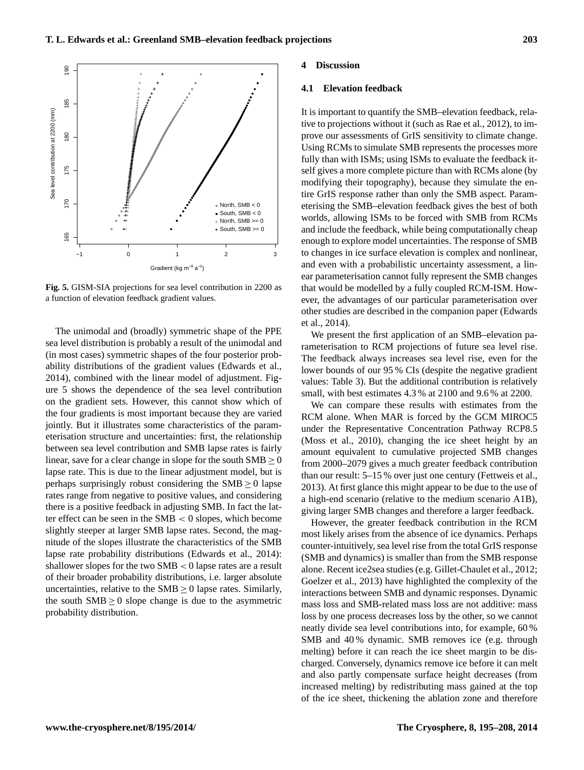

<span id="page-8-0"></span>**Fig. 5.** GISM-SIA projections for sea level contribution in 2200 as a function of elevation feedback gradient values.

The unimodal and (broadly) symmetric shape of the PPE sea level distribution is probably a result of the unimodal and (in most cases) symmetric shapes of the four posterior probability distributions of the gradient values [\(Edwards et al.,](#page-11-0) [2014\)](#page-11-0), combined with the linear model of adjustment. Figure [5](#page-8-0) shows the dependence of the sea level contribution on the gradient sets. However, this cannot show which of the four gradients is most important because they are varied jointly. But it illustrates some characteristics of the parameterisation structure and uncertainties: first, the relationship between sea level contribution and SMB lapse rates is fairly linear, save for a clear change in slope for the south  $\text{SMB} \geq 0$ lapse rate. This is due to the linear adjustment model, but is perhaps surprisingly robust considering the  $SMB > 0$  lapse rates range from negative to positive values, and considering there is a positive feedback in adjusting SMB. In fact the latter effect can be seen in the  $SMB < 0$  slopes, which become slightly steeper at larger SMB lapse rates. Second, the magnitude of the slopes illustrate the characteristics of the SMB lapse rate probability distributions [\(Edwards et al.,](#page-11-0) [2014\)](#page-11-0): shallower slopes for the two SMB < 0 lapse rates are a result of their broader probability distributions, i.e. larger absolute uncertainties, relative to the  $SMB \geq 0$  lapse rates. Similarly, the south  $SMB \ge 0$  slope change is due to the asymmetric probability distribution.

#### **4 Discussion**

#### **4.1 Elevation feedback**

It is important to quantify the SMB–elevation feedback, relative to projections without it (such as [Rae et al.,](#page-13-2) [2012\)](#page-13-2), to improve our assessments of GrIS sensitivity to climate change. Using RCMs to simulate SMB represents the processes more fully than with ISMs; using ISMs to evaluate the feedback itself gives a more complete picture than with RCMs alone (by modifying their topography), because they simulate the entire GrIS response rather than only the SMB aspect. Parameterising the SMB–elevation feedback gives the best of both worlds, allowing ISMs to be forced with SMB from RCMs and include the feedback, while being computationally cheap enough to explore model uncertainties. The response of SMB to changes in ice surface elevation is complex and nonlinear, and even with a probabilistic uncertainty assessment, a linear parameterisation cannot fully represent the SMB changes that would be modelled by a fully coupled RCM-ISM. However, the advantages of our particular parameterisation over other studies are described in the companion paper [\(Edwards](#page-11-0) [et al.,](#page-11-0) [2014\)](#page-11-0).

We present the first application of an SMB–elevation parameterisation to RCM projections of future sea level rise. The feedback always increases sea level rise, even for the lower bounds of our 95 % CIs (despite the negative gradient values: Table [3\)](#page-5-0). But the additional contribution is relatively small, with best estimates 4.3 % at 2100 and 9.6 % at 2200.

We can compare these results with estimates from the RCM alone. When MAR is forced by the GCM MIROC5 under the Representative Concentration Pathway RCP8.5 [\(Moss et al.,](#page-12-23) [2010\)](#page-12-23), changing the ice sheet height by an amount equivalent to cumulative projected SMB changes from 2000–2079 gives a much greater feedback contribution than our result: 5–15 % over just one century [\(Fettweis et al.,](#page-12-5) [2013\)](#page-12-5). At first glance this might appear to be due to the use of a high-end scenario (relative to the medium scenario A1B), giving larger SMB changes and therefore a larger feedback.

However, the greater feedback contribution in the RCM most likely arises from the absence of ice dynamics. Perhaps counter-intuitively, sea level rise from the total GrIS response (SMB and dynamics) is smaller than from the SMB response alone. Recent ice2sea studies (e.g. [Gillet-Chaulet et al.,](#page-12-12) [2012;](#page-12-12) [Goelzer et al.,](#page-12-13) [2013\)](#page-12-13) have highlighted the complexity of the interactions between SMB and dynamic responses. Dynamic mass loss and SMB-related mass loss are not additive: mass loss by one process decreases loss by the other, so we cannot neatly divide sea level contributions into, for example, 60 % SMB and 40 % dynamic. SMB removes ice (e.g. through melting) before it can reach the ice sheet margin to be discharged. Conversely, dynamics remove ice before it can melt and also partly compensate surface height decreases (from increased melting) by redistributing mass gained at the top of the ice sheet, thickening the ablation zone and therefore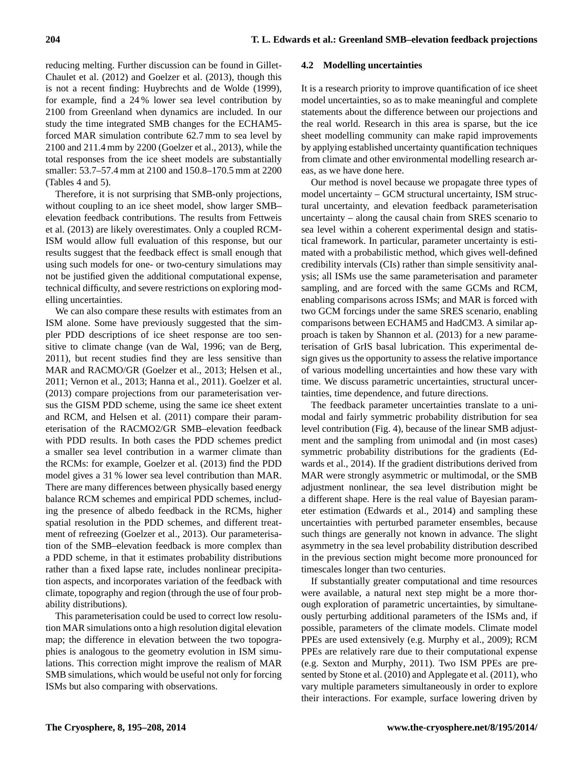reducing melting. Further discussion can be found in [Gillet-](#page-12-12)[Chaulet et al.](#page-12-12) [\(2012\)](#page-12-12) and [Goelzer et al.](#page-12-13) [\(2013\)](#page-12-13), though this is not a recent finding: [Huybrechts and de Wolde](#page-12-9) [\(1999\)](#page-12-9), for example, find a 24 % lower sea level contribution by 2100 from Greenland when dynamics are included. In our study the time integrated SMB changes for the ECHAM5 forced MAR simulation contribute 62.7 mm to sea level by 2100 and 211.4 mm by 2200 [\(Goelzer et al.,](#page-12-13) [2013\)](#page-12-13), while the total responses from the ice sheet models are substantially smaller: 53.7–57.4 mm at 2100 and 150.8–170.5 mm at 2200 (Tables [4](#page-6-1) and [5\)](#page-6-2).

Therefore, it is not surprising that SMB-only projections, without coupling to an ice sheet model, show larger SMB– elevation feedback contributions. The results from [Fettweis](#page-12-5) [et al.](#page-12-5) [\(2013\)](#page-12-5) are likely overestimates. Only a coupled RCM-ISM would allow full evaluation of this response, but our results suggest that the feedback effect is small enough that using such models for one- or two-century simulations may not be justified given the additional computational expense, technical difficulty, and severe restrictions on exploring modelling uncertainties.

We can also compare these results with estimates from an ISM alone. Some have previously suggested that the simpler PDD descriptions of ice sheet response are too sensitive to climate change [\(van de Wal,](#page-13-10) [1996;](#page-13-10) [van de Berg,](#page-13-11) [2011\)](#page-13-11), but recent studies find they are less sensitive than MAR and RACMO/GR [\(Goelzer et al.,](#page-12-13) [2013;](#page-12-13) [Helsen et al.,](#page-12-24) [2011;](#page-12-24) [Vernon et al.,](#page-13-12) [2013;](#page-13-12) [Hanna et al.,](#page-12-22) [2011\)](#page-12-22). [Goelzer et al.](#page-12-13) [\(2013\)](#page-12-13) compare projections from our parameterisation versus the GISM PDD scheme, using the same ice sheet extent and RCM, and [Helsen et al.](#page-12-24) [\(2011\)](#page-12-24) compare their parameterisation of the RACMO2/GR SMB–elevation feedback with PDD results. In both cases the PDD schemes predict a smaller sea level contribution in a warmer climate than the RCMs: for example, [Goelzer et al.](#page-12-13) [\(2013\)](#page-12-13) find the PDD model gives a 31 % lower sea level contribution than MAR. There are many differences between physically based energy balance RCM schemes and empirical PDD schemes, including the presence of albedo feedback in the RCMs, higher spatial resolution in the PDD schemes, and different treatment of refreezing [\(Goelzer et al.,](#page-12-13) [2013\)](#page-12-13). Our parameterisation of the SMB–elevation feedback is more complex than a PDD scheme, in that it estimates probability distributions rather than a fixed lapse rate, includes nonlinear precipitation aspects, and incorporates variation of the feedback with climate, topography and region (through the use of four probability distributions).

This parameterisation could be used to correct low resolution MAR simulations onto a high resolution digital elevation map; the difference in elevation between the two topographies is analogous to the geometry evolution in ISM simulations. This correction might improve the realism of MAR SMB simulations, which would be useful not only for forcing ISMs but also comparing with observations.

## **4.2 Modelling uncertainties**

It is a research priority to improve quantification of ice sheet model uncertainties, so as to make meaningful and complete statements about the difference between our projections and the real world. Research in this area is sparse, but the ice sheet modelling community can make rapid improvements by applying established uncertainty quantification techniques from climate and other environmental modelling research areas, as we have done here.

Our method is novel because we propagate three types of model uncertainty – GCM structural uncertainty, ISM structural uncertainty, and elevation feedback parameterisation uncertainty – along the causal chain from SRES scenario to sea level within a coherent experimental design and statistical framework. In particular, parameter uncertainty is estimated with a probabilistic method, which gives well-defined credibility intervals (CIs) rather than simple sensitivity analysis; all ISMs use the same parameterisation and parameter sampling, and are forced with the same GCMs and RCM, enabling comparisons across ISMs; and MAR is forced with two GCM forcings under the same SRES scenario, enabling comparisons between ECHAM5 and HadCM3. A similar approach is taken by [Shannon et al.](#page-13-13) [\(2013\)](#page-13-13) for a new parameterisation of GrIS basal lubrication. This experimental design gives us the opportunity to assess the relative importance of various modelling uncertainties and how these vary with time. We discuss parametric uncertainties, structural uncertainties, time dependence, and future directions.

The feedback parameter uncertainties translate to a unimodal and fairly symmetric probability distribution for sea level contribution (Fig. [4\)](#page-7-2), because of the linear SMB adjustment and the sampling from unimodal and (in most cases) symmetric probability distributions for the gradients [\(Ed](#page-11-0)[wards et al.,](#page-11-0) [2014\)](#page-11-0). If the gradient distributions derived from MAR were strongly asymmetric or multimodal, or the SMB adjustment nonlinear, the sea level distribution might be a different shape. Here is the real value of Bayesian parameter estimation [\(Edwards et al.,](#page-11-0) [2014\)](#page-11-0) and sampling these uncertainties with perturbed parameter ensembles, because such things are generally not known in advance. The slight asymmetry in the sea level probability distribution described in the previous section might become more pronounced for timescales longer than two centuries.

If substantially greater computational and time resources were available, a natural next step might be a more thorough exploration of parametric uncertainties, by simultaneously perturbing additional parameters of the ISMs and, if possible, parameters of the climate models. Climate model PPEs are used extensively (e.g. [Murphy et al.,](#page-12-25) [2009\)](#page-12-25); RCM PPEs are relatively rare due to their computational expense (e.g. [Sexton and Murphy,](#page-13-1) [2011\)](#page-13-1). Two ISM PPEs are presented by [Stone et al.](#page-13-14) [\(2010\)](#page-13-14) and [Applegate et al.](#page-11-7) [\(2011\)](#page-11-7), who vary multiple parameters simultaneously in order to explore their interactions. For example, surface lowering driven by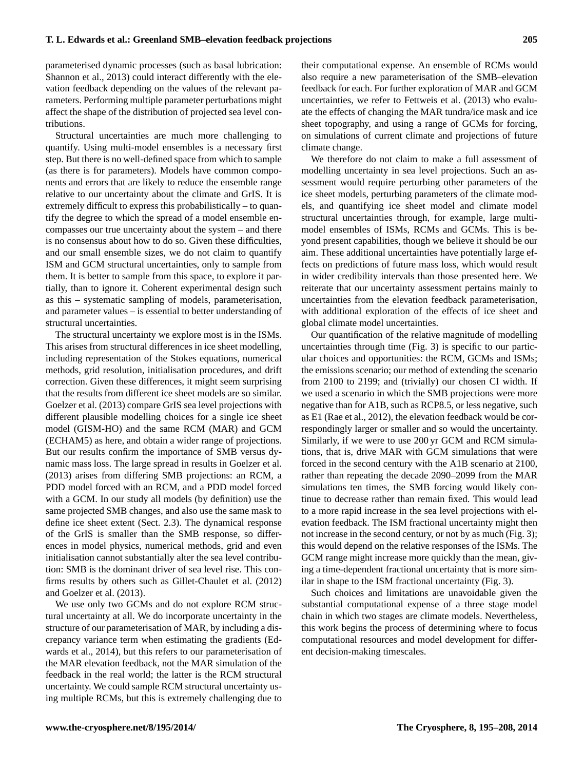parameterised dynamic processes (such as basal lubrication: [Shannon et al.,](#page-13-13) [2013\)](#page-13-13) could interact differently with the elevation feedback depending on the values of the relevant parameters. Performing multiple parameter perturbations might affect the shape of the distribution of projected sea level contributions.

Structural uncertainties are much more challenging to quantify. Using multi-model ensembles is a necessary first step. But there is no well-defined space from which to sample (as there is for parameters). Models have common components and errors that are likely to reduce the ensemble range relative to our uncertainty about the climate and GrIS. It is extremely difficult to express this probabilistically – to quantify the degree to which the spread of a model ensemble encompasses our true uncertainty about the system – and there is no consensus about how to do so. Given these difficulties, and our small ensemble sizes, we do not claim to quantify ISM and GCM structural uncertainties, only to sample from them. It is better to sample from this space, to explore it partially, than to ignore it. Coherent experimental design such as this – systematic sampling of models, parameterisation, and parameter values – is essential to better understanding of structural uncertainties.

The structural uncertainty we explore most is in the ISMs. This arises from structural differences in ice sheet modelling, including representation of the Stokes equations, numerical methods, grid resolution, initialisation procedures, and drift correction. Given these differences, it might seem surprising that the results from different ice sheet models are so similar. [Goelzer et al.](#page-12-13) [\(2013\)](#page-12-13) compare GrIS sea level projections with different plausible modelling choices for a single ice sheet model (GISM-HO) and the same RCM (MAR) and GCM (ECHAM5) as here, and obtain a wider range of projections. But our results confirm the importance of SMB versus dynamic mass loss. The large spread in results in [Goelzer et al.](#page-12-13) [\(2013\)](#page-12-13) arises from differing SMB projections: an RCM, a PDD model forced with an RCM, and a PDD model forced with a GCM. In our study all models (by definition) use the same projected SMB changes, and also use the same mask to define ice sheet extent (Sect. [2.3\)](#page-2-0). The dynamical response of the GrIS is smaller than the SMB response, so differences in model physics, numerical methods, grid and even initialisation cannot substantially alter the sea level contribution: SMB is the dominant driver of sea level rise. This confirms results by others such as [Gillet-Chaulet et al.](#page-12-12) [\(2012\)](#page-12-12) and [Goelzer et al.](#page-12-13) [\(2013\)](#page-12-13).

We use only two GCMs and do not explore RCM structural uncertainty at all. We do incorporate uncertainty in the structure of our parameterisation of MAR, by including a discrepancy variance term when estimating the gradients [\(Ed](#page-11-0)[wards et al.,](#page-11-0) [2014\)](#page-11-0), but this refers to our parameterisation of the MAR elevation feedback, not the MAR simulation of the feedback in the real world; the latter is the RCM structural uncertainty. We could sample RCM structural uncertainty using multiple RCMs, but this is extremely challenging due to their computational expense. An ensemble of RCMs would also require a new parameterisation of the SMB–elevation feedback for each. For further exploration of MAR and GCM uncertainties, we refer to [Fettweis et al.](#page-12-5) [\(2013\)](#page-12-5) who evaluate the effects of changing the MAR tundra/ice mask and ice sheet topography, and using a range of GCMs for forcing, on simulations of current climate and projections of future climate change.

We therefore do not claim to make a full assessment of modelling uncertainty in sea level projections. Such an assessment would require perturbing other parameters of the ice sheet models, perturbing parameters of the climate models, and quantifying ice sheet model and climate model structural uncertainties through, for example, large multimodel ensembles of ISMs, RCMs and GCMs. This is beyond present capabilities, though we believe it should be our aim. These additional uncertainties have potentially large effects on predictions of future mass loss, which would result in wider credibility intervals than those presented here. We reiterate that our uncertainty assessment pertains mainly to uncertainties from the elevation feedback parameterisation, with additional exploration of the effects of ice sheet and global climate model uncertainties.

Our quantification of the relative magnitude of modelling uncertainties through time (Fig. [3\)](#page-7-1) is specific to our particular choices and opportunities: the RCM, GCMs and ISMs; the emissions scenario; our method of extending the scenario from 2100 to 2199; and (trivially) our chosen CI width. If we used a scenario in which the SMB projections were more negative than for A1B, such as RCP8.5, or less negative, such as E1 [\(Rae et al.,](#page-13-2) [2012\)](#page-13-2), the elevation feedback would be correspondingly larger or smaller and so would the uncertainty. Similarly, if we were to use 200 yr GCM and RCM simulations, that is, drive MAR with GCM simulations that were forced in the second century with the A1B scenario at 2100, rather than repeating the decade 2090–2099 from the MAR simulations ten times, the SMB forcing would likely continue to decrease rather than remain fixed. This would lead to a more rapid increase in the sea level projections with elevation feedback. The ISM fractional uncertainty might then not increase in the second century, or not by as much (Fig. [3\)](#page-7-1); this would depend on the relative responses of the ISMs. The GCM range might increase more quickly than the mean, giving a time-dependent fractional uncertainty that is more similar in shape to the ISM fractional uncertainty (Fig. [3\)](#page-7-1).

Such choices and limitations are unavoidable given the substantial computational expense of a three stage model chain in which two stages are climate models. Nevertheless, this work begins the process of determining where to focus computational resources and model development for different decision-making timescales.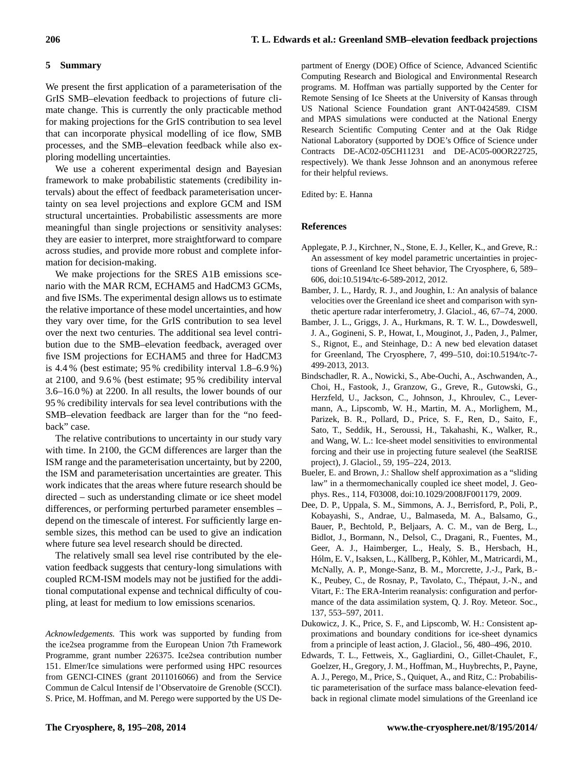# **5 Summary**

We present the first application of a parameterisation of the GrIS SMB–elevation feedback to projections of future climate change. This is currently the only practicable method for making projections for the GrIS contribution to sea level that can incorporate physical modelling of ice flow, SMB processes, and the SMB–elevation feedback while also exploring modelling uncertainties.

We use a coherent experimental design and Bayesian framework to make probabilistic statements (credibility intervals) about the effect of feedback parameterisation uncertainty on sea level projections and explore GCM and ISM structural uncertainties. Probabilistic assessments are more meaningful than single projections or sensitivity analyses: they are easier to interpret, more straightforward to compare across studies, and provide more robust and complete information for decision-making.

We make projections for the SRES A1B emissions scenario with the MAR RCM, ECHAM5 and HadCM3 GCMs, and five ISMs. The experimental design allows us to estimate the relative importance of these model uncertainties, and how they vary over time, for the GrIS contribution to sea level over the next two centuries. The additional sea level contribution due to the SMB–elevation feedback, averaged over five ISM projections for ECHAM5 and three for HadCM3 is 4.4 % (best estimate; 95 % credibility interval 1.8–6.9 %) at 2100, and 9.6 % (best estimate; 95 % credibility interval 3.6–16.0 %) at 2200. In all results, the lower bounds of our 95 % credibility intervals for sea level contributions with the SMB–elevation feedback are larger than for the "no feedback" case.

The relative contributions to uncertainty in our study vary with time. In 2100, the GCM differences are larger than the ISM range and the parameterisation uncertainty, but by 2200, the ISM and parameterisation uncertainties are greater. This work indicates that the areas where future research should be directed – such as understanding climate or ice sheet model differences, or performing perturbed parameter ensembles – depend on the timescale of interest. For sufficiently large ensemble sizes, this method can be used to give an indication where future sea level research should be directed.

The relatively small sea level rise contributed by the elevation feedback suggests that century-long simulations with coupled RCM-ISM models may not be justified for the additional computational expense and technical difficulty of coupling, at least for medium to low emissions scenarios.

*Acknowledgements.* This work was supported by funding from the ice2sea programme from the European Union 7th Framework Programme, grant number 226375. Ice2sea contribution number 151. Elmer/Ice simulations were performed using HPC resources from GENCI-CINES (grant 2011016066) and from the Service Commun de Calcul Intensif de l'Observatoire de Grenoble (SCCI). S. Price, M. Hoffman, and M. Perego were supported by the US Department of Energy (DOE) Office of Science, Advanced Scientific Computing Research and Biological and Environmental Research programs. M. Hoffman was partially supported by the Center for Remote Sensing of Ice Sheets at the University of Kansas through US National Science Foundation grant ANT-0424589. CISM and MPAS simulations were conducted at the National Energy Research Scientific Computing Center and at the Oak Ridge National Laboratory (supported by DOE's Office of Science under Contracts DE-AC02-05CH11231 and DE-AC05-00OR22725, respectively). We thank Jesse Johnson and an anonymous referee for their helpful reviews.

Edited by: E. Hanna

#### **References**

- <span id="page-11-7"></span>Applegate, P. J., Kirchner, N., Stone, E. J., Keller, K., and Greve, R.: An assessment of key model parametric uncertainties in projections of Greenland Ice Sheet behavior, The Cryosphere, 6, 589– 606, doi[:10.5194/tc-6-589-2012,](http://dx.doi.org/10.5194/tc-6-589-2012) 2012.
- <span id="page-11-5"></span>Bamber, J. L., Hardy, R. J., and Joughin, I.: An analysis of balance velocities over the Greenland ice sheet and comparison with synthetic aperture radar interferometry, J. Glaciol., 46, 67–74, 2000.
- <span id="page-11-4"></span>Bamber, J. L., Griggs, J. A., Hurkmans, R. T. W. L., Dowdeswell, J. A., Gogineni, S. P., Howat, I., Mouginot, J., Paden, J., Palmer, S., Rignot, E., and Steinhage, D.: A new bed elevation dataset for Greenland, The Cryosphere, 7, 499–510, doi[:10.5194/tc-7-](http://dx.doi.org/10.5194/tc-7-499-2013) [499-2013,](http://dx.doi.org/10.5194/tc-7-499-2013) 2013.
- <span id="page-11-1"></span>Bindschadler, R. A., Nowicki, S., Abe-Ouchi, A., Aschwanden, A., Choi, H., Fastook, J., Granzow, G., Greve, R., Gutowski, G., Herzfeld, U., Jackson, C., Johnson, J., Khroulev, C., Levermann, A., Lipscomb, W. H., Martin, M. A., Morlighem, M., Parizek, B. R., Pollard, D., Price, S. F., Ren, D., Saito, F., Sato, T., Seddik, H., Seroussi, H., Takahashi, K., Walker, R., and Wang, W. L.: Ice-sheet model sensitivities to environmental forcing and their use in projecting future sealevel (the SeaRISE project), J. Glaciol., 59, 195–224, 2013.
- <span id="page-11-3"></span>Bueler, E. and Brown, J.: Shallow shelf approximation as a "sliding law" in a thermomechanically coupled ice sheet model, J. Geophys. Res., 114, F03008, doi[:10.1029/2008JF001179,](http://dx.doi.org/10.1029/2008JF001179) 2009.
- <span id="page-11-2"></span>Dee, D. P., Uppala, S. M., Simmons, A. J., Berrisford, P., Poli, P., Kobayashi, S., Andrae, U., Balmaseda, M. A., Balsamo, G., Bauer, P., Bechtold, P., Beljaars, A. C. M., van de Berg, L., Bidlot, J., Bormann, N., Delsol, C., Dragani, R., Fuentes, M., Geer, A. J., Haimberger, L., Healy, S. B., Hersbach, H., Hólm, E. V., Isaksen, L., Kallberg, P., Köhler, M., Matricardi, M., McNally, A. P., Monge-Sanz, B. M., Morcrette, J.-J., Park, B.- K., Peubey, C., de Rosnay, P., Tavolato, C., Thépaut, J.-N., and Vitart, F.: The ERA-Interim reanalysis: configuration and performance of the data assimilation system, Q. J. Roy. Meteor. Soc., 137, 553–597, 2011.
- <span id="page-11-6"></span>Dukowicz, J. K., Price, S. F., and Lipscomb, W. H.: Consistent approximations and boundary conditions for ice-sheet dynamics from a principle of least action, J. Glaciol., 56, 480–496, 2010.
- <span id="page-11-0"></span>Edwards, T. L., Fettweis, X., Gagliardini, O., Gillet-Chaulet, F., Goelzer, H., Gregory, J. M., Hoffman, M., Huybrechts, P., Payne, A. J., Perego, M., Price, S., Quiquet, A., and Ritz, C.: Probabilistic parameterisation of the surface mass balance-elevation feedback in regional climate model simulations of the Greenland ice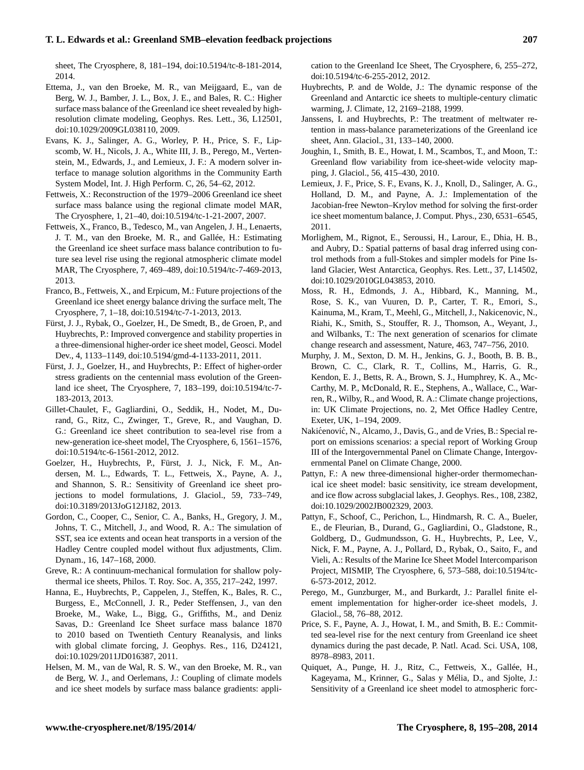sheet, The Cryosphere, 8, 181–194, doi[:10.5194/tc-8-181-2014,](http://dx.doi.org/10.5194/tc-8-181-2014) 2014.

- <span id="page-12-1"></span>Ettema, J., van den Broeke, M. R., van Meijgaard, E., van de Berg, W. J., Bamber, J. L., Box, J. E., and Bales, R. C.: Higher surface mass balance of the Greenland ice sheet revealed by highresolution climate modeling, Geophys. Res. Lett., 36, L12501, doi[:10.1029/2009GL038110,](http://dx.doi.org/10.1029/2009GL038110) 2009.
- <span id="page-12-17"></span>Evans, K. J., Salinger, A. G., Worley, P. H., Price, S. F., Lipscomb, W. H., Nicols, J. A., White III, J. B., Perego, M., Vertenstein, M., Edwards, J., and Lemieux, J. F.: A modern solver interface to manage solution algorithms in the Community Earth System Model, Int. J. High Perform. C, 26, 54–62, 2012.
- <span id="page-12-0"></span>Fettweis, X.: Reconstruction of the 1979–2006 Greenland ice sheet surface mass balance using the regional climate model MAR, The Cryosphere, 1, 21–40, doi[:10.5194/tc-1-21-2007,](http://dx.doi.org/10.5194/tc-1-21-2007) 2007.
- <span id="page-12-5"></span>Fettweis, X., Franco, B., Tedesco, M., van Angelen, J. H., Lenaerts, J. T. M., van den Broeke, M. R., and Gallée, H.: Estimating the Greenland ice sheet surface mass balance contribution to future sea level rise using the regional atmospheric climate model MAR, The Cryosphere, 7, 469–489, doi[:10.5194/tc-7-469-2013,](http://dx.doi.org/10.5194/tc-7-469-2013) 2013.
- <span id="page-12-6"></span>Franco, B., Fettweis, X., and Erpicum, M.: Future projections of the Greenland ice sheet energy balance driving the surface melt, The Cryosphere, 7, 1–18, doi[:10.5194/tc-7-1-2013,](http://dx.doi.org/10.5194/tc-7-1-2013) 2013.
- <span id="page-12-10"></span>Fürst, J. J., Rybak, O., Goelzer, H., De Smedt, B., de Groen, P., and Huybrechts, P.: Improved convergence and stability properties in a three-dimensional higher-order ice sheet model, Geosci. Model Dev., 4, 1133–1149, doi[:10.5194/gmd-4-1133-2011,](http://dx.doi.org/10.5194/gmd-4-1133-2011) 2011.
- <span id="page-12-11"></span>Fürst, J. J., Goelzer, H., and Huybrechts, P.: Effect of higher-order stress gradients on the centennial mass evolution of the Greenland ice sheet, The Cryosphere, 7, 183–199, doi[:10.5194/tc-7-](http://dx.doi.org/10.5194/tc-7-183-2013) [183-2013,](http://dx.doi.org/10.5194/tc-7-183-2013) 2013.
- <span id="page-12-12"></span>Gillet-Chaulet, F., Gagliardini, O., Seddik, H., Nodet, M., Durand, G., Ritz, C., Zwinger, T., Greve, R., and Vaughan, D. G.: Greenland ice sheet contribution to sea-level rise from a new-generation ice-sheet model, The Cryosphere, 6, 1561–1576, doi[:10.5194/tc-6-1561-2012,](http://dx.doi.org/10.5194/tc-6-1561-2012) 2012.
- <span id="page-12-13"></span>Goelzer, H., Huybrechts, P., Fürst, J. J., Nick, F. M., Andersen, M. L., Edwards, T. L., Fettweis, X., Payne, A. J., and Shannon, S. R.: Sensitivity of Greenland ice sheet projections to model formulations, J. Glaciol., 59, 733–749, doi[:10.3189/2013JoG12J182,](http://dx.doi.org/10.3189/2013JoG12J182) 2013.
- <span id="page-12-7"></span>Gordon, C., Cooper, C., Senior, C. A., Banks, H., Gregory, J. M., Johns, T. C., Mitchell, J., and Wood, R. A.: The simulation of SST, sea ice extents and ocean heat transports in a version of the Hadley Centre coupled model without flux adjustments, Clim. Dynam., 16, 147–168, 2000.
- <span id="page-12-20"></span>Greve, R.: A continuum-mechanical formulation for shallow polythermal ice sheets, Philos. T. Roy. Soc. A, 355, 217–242, 1997.
- <span id="page-12-22"></span>Hanna, E., Huybrechts, P., Cappelen, J., Steffen, K., Bales, R. C., Burgess, E., McConnell, J. R., Peder Steffensen, J., van den Broeke, M., Wake, L., Bigg, G., Griffiths, M., and Deniz Savas, D.: Greenland Ice Sheet surface mass balance 1870 to 2010 based on Twentieth Century Reanalysis, and links with global climate forcing, J. Geophys. Res., 116, D24121, doi[:10.1029/2011JD016387,](http://dx.doi.org/10.1029/2011JD016387) 2011.
- <span id="page-12-24"></span>Helsen, M. M., van de Wal, R. S. W., van den Broeke, M. R., van de Berg, W. J., and Oerlemans, J.: Coupling of climate models and ice sheet models by surface mass balance gradients: appli-

cation to the Greenland Ice Sheet, The Cryosphere, 6, 255–272, doi[:10.5194/tc-6-255-2012,](http://dx.doi.org/10.5194/tc-6-255-2012) 2012.

- <span id="page-12-9"></span>Huybrechts, P. and de Wolde, J.: The dynamic response of the Greenland and Antarctic ice sheets to multiple-century climatic warming, J. Climate, 12, 2169–2188, 1999.
- <span id="page-12-2"></span>Janssens, I. and Huybrechts, P.: The treatment of meltwater retention in mass-balance parameterizations of the Greenland ice sheet, Ann. Glaciol., 31, 133–140, 2000.
- <span id="page-12-19"></span>Joughin, I., Smith, B. E., Howat, I. M., Scambos, T., and Moon, T.: Greenland flow variability from ice-sheet-wide velocity mapping, J. Glaciol., 56, 415–430, 2010.
- <span id="page-12-16"></span>Lemieux, J. F., Price, S. F., Evans, K. J., Knoll, D., Salinger, A. G., Holland, D. M., and Payne, A. J.: Implementation of the Jacobian-free Newton–Krylov method for solving the first-order ice sheet momentum balance, J. Comput. Phys., 230, 6531–6545, 2011.
- <span id="page-12-21"></span>Morlighem, M., Rignot, E., Seroussi, H., Larour, E., Dhia, H. B., and Aubry, D.: Spatial patterns of basal drag inferred using control methods from a full-Stokes and simpler models for Pine Island Glacier, West Antarctica, Geophys. Res. Lett., 37, L14502, doi[:10.1029/2010GL043853,](http://dx.doi.org/10.1029/2010GL043853) 2010.
- <span id="page-12-23"></span>Moss, R. H., Edmonds, J. A., Hibbard, K., Manning, M., Rose, S. K., van Vuuren, D. P., Carter, T. R., Emori, S., Kainuma, M., Kram, T., Meehl, G., Mitchell, J., Nakicenovic, N., Riahi, K., Smith, S., Stouffer, R. J., Thomson, A., Weyant, J., and Wilbanks, T.: The next generation of scenarios for climate change research and assessment, Nature, 463, 747–756, 2010.
- <span id="page-12-25"></span>Murphy, J. M., Sexton, D. M. H., Jenkins, G. J., Booth, B. B. B., Brown, C. C., Clark, R. T., Collins, M., Harris, G. R., Kendon, E. J., Betts, R. A., Brown, S. J., Humphrey, K. A., Mc-Carthy, M. P., McDonald, R. E., Stephens, A., Wallace, C., Warren, R., Wilby, R., and Wood, R. A.: Climate change projections, in: UK Climate Projections, no. 2, Met Office Hadley Centre, Exeter, UK, 1–194, 2009.
- <span id="page-12-3"></span>Nakićenović, N., Alcamo, J., Davis, G., and de Vries, B.: Special report on emissions scenarios: a special report of Working Group III of the Intergovernmental Panel on Climate Change, Intergovernmental Panel on Climate Change, 2000.
- <span id="page-12-8"></span>Pattyn, F.: A new three-dimensional higher-order thermomechanical ice sheet model: basic sensitivity, ice stream development, and ice flow across subglacial lakes, J. Geophys. Res., 108, 2382, doi[:10.1029/2002JB002329,](http://dx.doi.org/10.1029/2002JB002329) 2003.
- <span id="page-12-4"></span>Pattyn, F., Schoof, C., Perichon, L., Hindmarsh, R. C. A., Bueler, E., de Fleurian, B., Durand, G., Gagliardini, O., Gladstone, R., Goldberg, D., Gudmundsson, G. H., Huybrechts, P., Lee, V., Nick, F. M., Payne, A. J., Pollard, D., Rybak, O., Saito, F., and Vieli, A.: Results of the Marine Ice Sheet Model Intercomparison Project, MISMIP, The Cryosphere, 6, 573–588, doi[:10.5194/tc-](http://dx.doi.org/10.5194/tc-6-573-2012)[6-573-2012,](http://dx.doi.org/10.5194/tc-6-573-2012) 2012.
- <span id="page-12-14"></span>Perego, M., Gunzburger, M., and Burkardt, J.: Parallel finite element implementation for higher-order ice-sheet models, J. Glaciol., 58, 76–88, 2012.
- <span id="page-12-15"></span>Price, S. F., Payne, A. J., Howat, I. M., and Smith, B. E.: Committed sea-level rise for the next century from Greenland ice sheet dynamics during the past decade, P. Natl. Acad. Sci. USA, 108, 8978–8983, 2011.
- <span id="page-12-18"></span>Quiquet, A., Punge, H. J., Ritz, C., Fettweis, X., Gallée, H., Kageyama, M., Krinner, G., Salas y Mélia, D., and Sjolte, J.: Sensitivity of a Greenland ice sheet model to atmospheric forc-